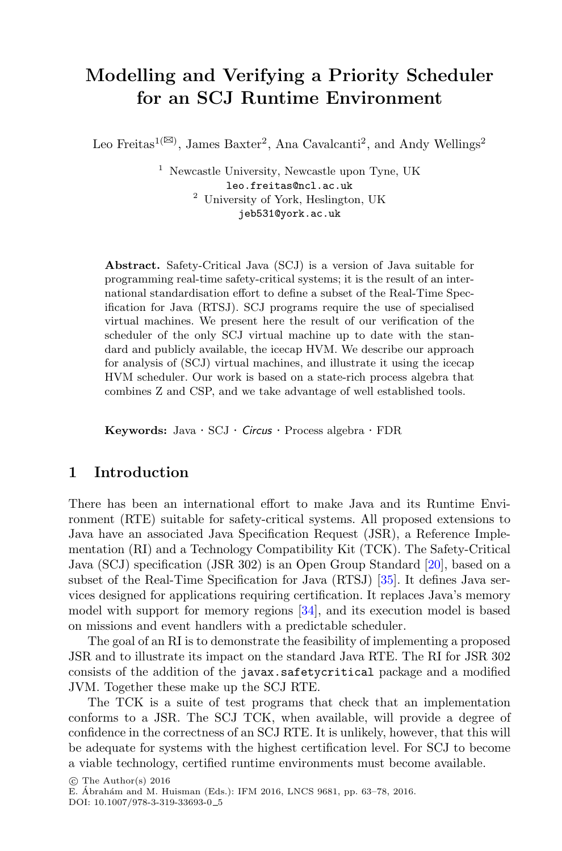# **Modelling and Verifying a Priority Scheduler for an SCJ Runtime Environment**

Leo Freitas<sup>1( $\boxtimes$ )</sup>, James Baxter<sup>2</sup>, Ana Cavalcanti<sup>2</sup>, and Andy Wellings<sup>2</sup>

<sup>1</sup> Newcastle University, Newcastle upon Tyne, UK leo.freitas@ncl.ac.uk <sup>2</sup> University of York, Heslington, UK jeb531@york.ac.uk

**Abstract.** Safety-Critical Java (SCJ) is a version of Java suitable for programming real-time safety-critical systems; it is the result of an international standardisation effort to define a subset of the Real-Time Specification for Java (RTSJ). SCJ programs require the use of specialised virtual machines. We present here the result of our verification of the scheduler of the only SCJ virtual machine up to date with the standard and publicly available, the icecap HVM. We describe our approach for analysis of (SCJ) virtual machines, and illustrate it using the icecap HVM scheduler. Our work is based on a state-rich process algebra that combines Z and CSP, and we take advantage of well established tools.

**Keywords:** Java · SCJ · *Circus* · Process algebra · FDR

### **1 Introduction**

There has been an international effort to make Java and its Runtime Environment (RTE) suitable for safety-critical systems. All proposed extensions to Java have an associated Java Specification Request (JSR), a Reference Implementation (RI) and a Technology Compatibility Kit (TCK). The Safety-Critical Java (SCJ) specification (JSR 302) is an Open Group Standard [\[20\]](#page-14-0), based on a subset of the Real-Time Specification for Java (RTSJ) [\[35\]](#page-15-0). It defines Java services designed for applications requiring certification. It replaces Java's memory model with support for memory regions [\[34\]](#page-15-1), and its execution model is based on missions and event handlers with a predictable scheduler.

The goal of an RI is to demonstrate the feasibility of implementing a proposed JSR and to illustrate its impact on the standard Java RTE. The RI for JSR 302 consists of the addition of the javax.safetycritical package and a modified JVM. Together these make up the SCJ RTE.

The TCK is a suite of test programs that check that an implementation conforms to a JSR. The SCJ TCK, when available, will provide a degree of confidence in the correctness of an SCJ RTE. It is unlikely, however, that this will be adequate for systems with the highest certification level. For SCJ to become a viable technology, certified runtime environments must become available.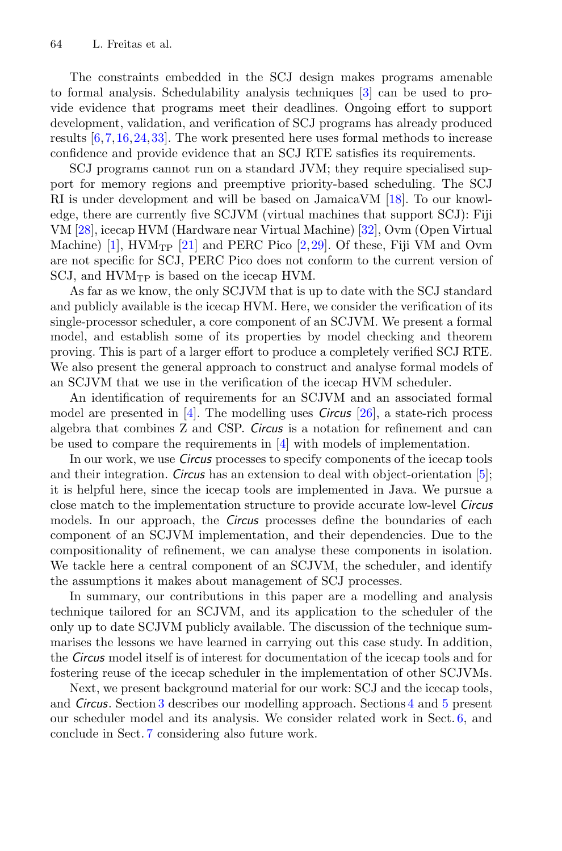The constraints embedded in the SCJ design makes programs amenable to formal analysis. Schedulability analysis techniques [\[3\]](#page-14-1) can be used to provide evidence that programs meet their deadlines. Ongoing effort to support development, validation, and verification of SCJ programs has already produced results [\[6,](#page-14-2)[7](#page-14-3)[,16](#page-14-4),[24,](#page-15-2)[33](#page-15-3)]. The work presented here uses formal methods to increase confidence and provide evidence that an SCJ RTE satisfies its requirements.

SCJ programs cannot run on a standard JVM; they require specialised support for memory regions and preemptive priority-based scheduling. The SCJ RI is under development and will be based on JamaicaVM [\[18](#page-14-5)]. To our knowledge, there are currently five SCJVM (virtual machines that support SCJ): Fiji VM [\[28](#page-15-4)], icecap HVM (Hardware near Virtual Machine) [\[32\]](#page-15-5), Ovm (Open Virtual Machine) [\[1](#page-14-6)],  $HVM_{TP}$  [\[21](#page-14-7)] and PERC Pico [\[2,](#page-14-8)[29](#page-15-6)]. Of these, Fiji VM and Ovm are not specific for SCJ, PERC Pico does not conform to the current version of SCJ, and  $HVM_{TP}$  is based on the icecap HVM.

As far as we know, the only SCJVM that is up to date with the SCJ standard and publicly available is the icecap HVM. Here, we consider the verification of its single-processor scheduler, a core component of an SCJVM. We present a formal model, and establish some of its properties by model checking and theorem proving. This is part of a larger effort to produce a completely verified SCJ RTE. We also present the general approach to construct and analyse formal models of an SCJVM that we use in the verification of the icecap HVM scheduler.

An identification of requirements for an SCJVM and an associated formal model are presented in [\[4](#page-14-9)]. The modelling uses *Circus* [\[26](#page-15-7)], a state-rich process algebra that combines Z and CSP. *Circus* is a notation for refinement and can be used to compare the requirements in [\[4\]](#page-14-9) with models of implementation.

In our work, we use *Circus* processes to specify components of the icecap tools and their integration. *Circus* has an extension to deal with object-orientation [\[5\]](#page-14-10); it is helpful here, since the icecap tools are implemented in Java. We pursue a close match to the implementation structure to provide accurate low-level *Circus* models. In our approach, the *Circus* processes define the boundaries of each component of an SCJVM implementation, and their dependencies. Due to the compositionality of refinement, we can analyse these components in isolation. We tackle here a central component of an SCJVM, the scheduler, and identify the assumptions it makes about management of SCJ processes.

In summary, our contributions in this paper are a modelling and analysis technique tailored for an SCJVM, and its application to the scheduler of the only up to date SCJVM publicly available. The discussion of the technique summarises the lessons we have learned in carrying out this case study. In addition, the *Circus* model itself is of interest for documentation of the icecap tools and for fostering reuse of the icecap scheduler in the implementation of other SCJVMs.

Next, we present background material for our work: SCJ and the icecap tools, and *Circus*. Section [3](#page-4-0) describes our modelling approach. Sections [4](#page-6-0) and [5](#page-10-0) present our scheduler model and its analysis. We consider related work in Sect. [6,](#page-11-0) and conclude in Sect. [7](#page-12-0) considering also future work.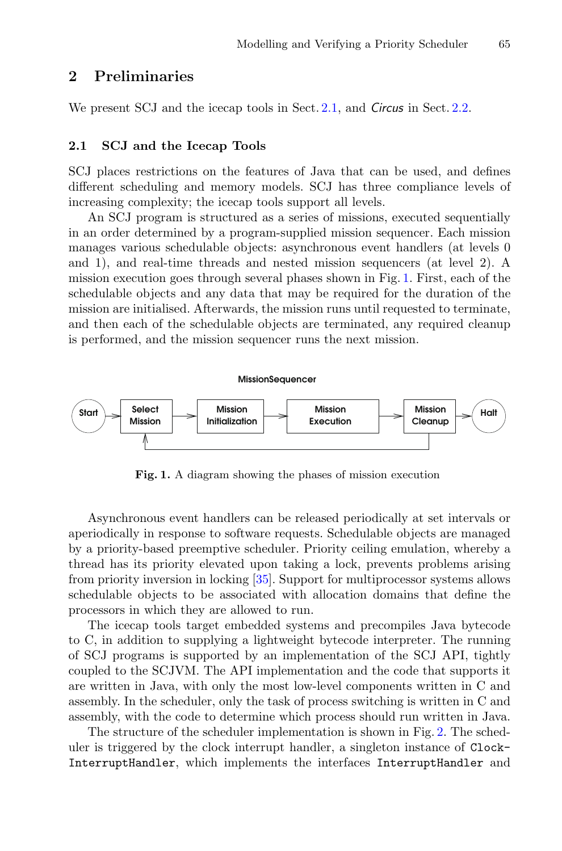## **2 Preliminaries**

We present SCJ and the icecap tools in Sect. [2.1,](#page-2-0) and *Circus* in Sect. [2.2.](#page-3-0)

#### <span id="page-2-0"></span>**2.1 SCJ and the Icecap Tools**

SCJ places restrictions on the features of Java that can be used, and defines different scheduling and memory models. SCJ has three compliance levels of increasing complexity; the icecap tools support all levels.

An SCJ program is structured as a series of missions, executed sequentially in an order determined by a program-supplied mission sequencer. Each mission manages various schedulable objects: asynchronous event handlers (at levels 0 and 1), and real-time threads and nested mission sequencers (at level 2). A mission execution goes through several phases shown in Fig. [1.](#page-2-1) First, each of the schedulable objects and any data that may be required for the duration of the mission are initialised. Afterwards, the mission runs until requested to terminate, and then each of the schedulable objects are terminated, any required cleanup is performed, and the mission sequencer runs the next mission.



**Fig. 1.** A diagram showing the phases of mission execution

<span id="page-2-1"></span>Asynchronous event handlers can be released periodically at set intervals or aperiodically in response to software requests. Schedulable objects are managed by a priority-based preemptive scheduler. Priority ceiling emulation, whereby a thread has its priority elevated upon taking a lock, prevents problems arising from priority inversion in locking [\[35](#page-15-0)]. Support for multiprocessor systems allows schedulable objects to be associated with allocation domains that define the processors in which they are allowed to run.

The icecap tools target embedded systems and precompiles Java bytecode to C, in addition to supplying a lightweight bytecode interpreter. The running of SCJ programs is supported by an implementation of the SCJ API, tightly coupled to the SCJVM. The API implementation and the code that supports it are written in Java, with only the most low-level components written in C and assembly. In the scheduler, only the task of process switching is written in C and assembly, with the code to determine which process should run written in Java.

The structure of the scheduler implementation is shown in Fig. [2.](#page-3-1) The scheduler is triggered by the clock interrupt handler, a singleton instance of Clock-InterruptHandler, which implements the interfaces InterruptHandler and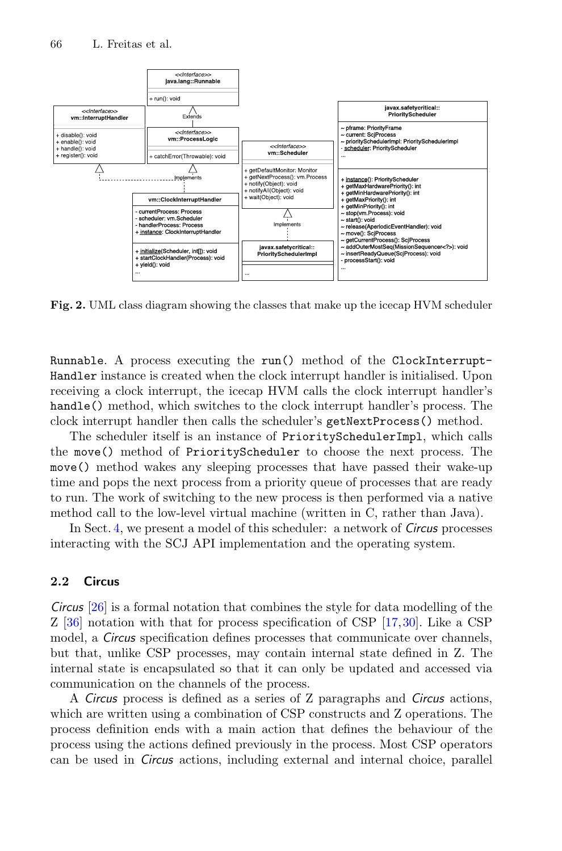

<span id="page-3-1"></span>**Fig. 2.** UML class diagram showing the classes that make up the icecap HVM scheduler

Runnable. A process executing the run() method of the ClockInterrupt-Handler instance is created when the clock interrupt handler is initialised. Upon receiving a clock interrupt, the icecap HVM calls the clock interrupt handler's handle() method, which switches to the clock interrupt handler's process. The clock interrupt handler then calls the scheduler's getNextProcess() method.

The scheduler itself is an instance of PrioritySchedulerImpl, which calls the move() method of PriorityScheduler to choose the next process. The move() method wakes any sleeping processes that have passed their wake-up time and pops the next process from a priority queue of processes that are ready to run. The work of switching to the new process is then performed via a native method call to the low-level virtual machine (written in C, rather than Java).

In Sect. [4,](#page-6-0) we present a model of this scheduler: a network of *Circus* processes interacting with the SCJ API implementation and the operating system.

#### <span id="page-3-0"></span>**2.2 Circus**

*Circus* [\[26](#page-15-7)] is a formal notation that combines the style for data modelling of the  $Z$  [\[36](#page-15-8)] notation with that for process specification of CSP [\[17](#page-14-11)[,30](#page-15-9)]. Like a CSP model, a *Circus* specification defines processes that communicate over channels, but that, unlike CSP processes, may contain internal state defined in Z. The internal state is encapsulated so that it can only be updated and accessed via communication on the channels of the process.

A *Circus* process is defined as a series of Z paragraphs and *Circus* actions, which are written using a combination of CSP constructs and Z operations. The process definition ends with a main action that defines the behaviour of the process using the actions defined previously in the process. Most CSP operators can be used in *Circus* actions, including external and internal choice, parallel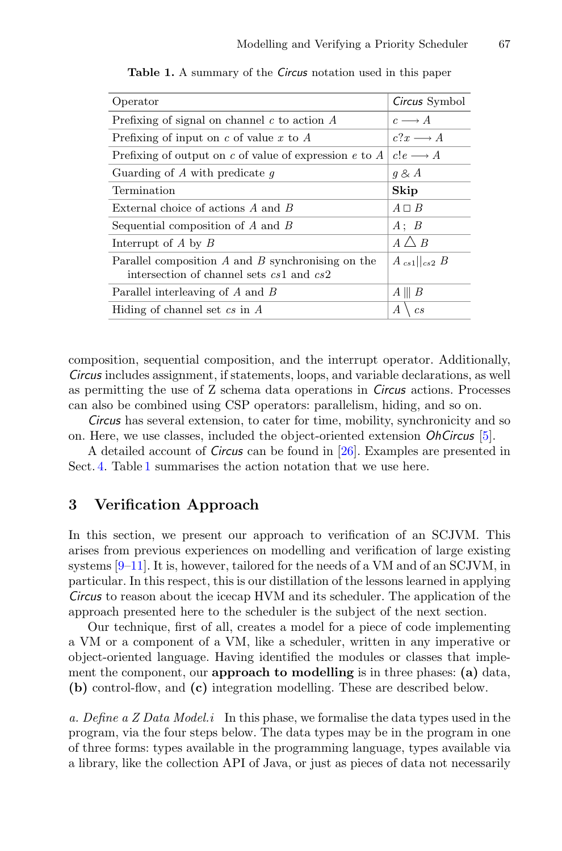<span id="page-4-1"></span>

| Operator                                                                                          | Circus Symbol           |
|---------------------------------------------------------------------------------------------------|-------------------------|
| Prefixing of signal on channel $c$ to action $A$                                                  | $c \longrightarrow A$   |
| Prefixing of input on c of value $x$ to $A$                                                       | $c?x \longrightarrow A$ |
| Prefixing of output on c of value of expression $e$ to $\tilde{A}$                                | $c!e \longrightarrow A$ |
| Guarding of A with predicate $q$                                                                  | $q \& A$                |
| Termination                                                                                       | Skip                    |
| External choice of actions $A$ and $B$                                                            | $A \sqcap B$            |
| Sequential composition of $A$ and $B$                                                             | A; B                    |
| Interrupt of $A$ by $B$                                                                           | $A \wedge B$            |
| Parallel composition $A$ and $B$ synchronising on the<br>intersection of channel sets cs1 and cs2 | $A_{cs1} _{cs2}$ B      |
| Parallel interleaving of $A$ and $B$                                                              | $A \parallel B$         |
| Hiding of channel set $cs$ in $A$                                                                 | A<br>$\overline{c}$ s   |
|                                                                                                   |                         |

**Table 1.** A summary of the *Circus* notation used in this paper

composition, sequential composition, and the interrupt operator. Additionally, *Circus* includes assignment, if statements, loops, and variable declarations, as well as permitting the use of Z schema data operations in *Circus* actions. Processes can also be combined using CSP operators: parallelism, hiding, and so on.

*Circus* has several extension, to cater for time, mobility, synchronicity and so on. Here, we use classes, included the object-oriented extension *OhCircus* [\[5](#page-14-10)].

A detailed account of *Circus* can be found in [\[26\]](#page-15-7). Examples are presented in Sect. [4.](#page-6-0) Table [1](#page-4-1) summarises the action notation that we use here.

### <span id="page-4-0"></span>**3 Verification Approach**

In this section, we present our approach to verification of an SCJVM. This arises from previous experiences on modelling and verification of large existing systems [\[9](#page-14-12)[–11](#page-14-13)]. It is, however, tailored for the needs of a VM and of an SCJVM, in particular. In this respect, this is our distillation of the lessons learned in applying *Circus* to reason about the icecap HVM and its scheduler. The application of the approach presented here to the scheduler is the subject of the next section.

Our technique, first of all, creates a model for a piece of code implementing a VM or a component of a VM, like a scheduler, written in any imperative or object-oriented language. Having identified the modules or classes that implement the component, our **approach to modelling** is in three phases: **(a)** data, **(b)** control-flow, and **(c)** integration modelling. These are described below.

*a. Define a Z Data Model.i* In this phase, we formalise the data types used in the program, via the four steps below. The data types may be in the program in one of three forms: types available in the programming language, types available via a library, like the collection API of Java, or just as pieces of data not necessarily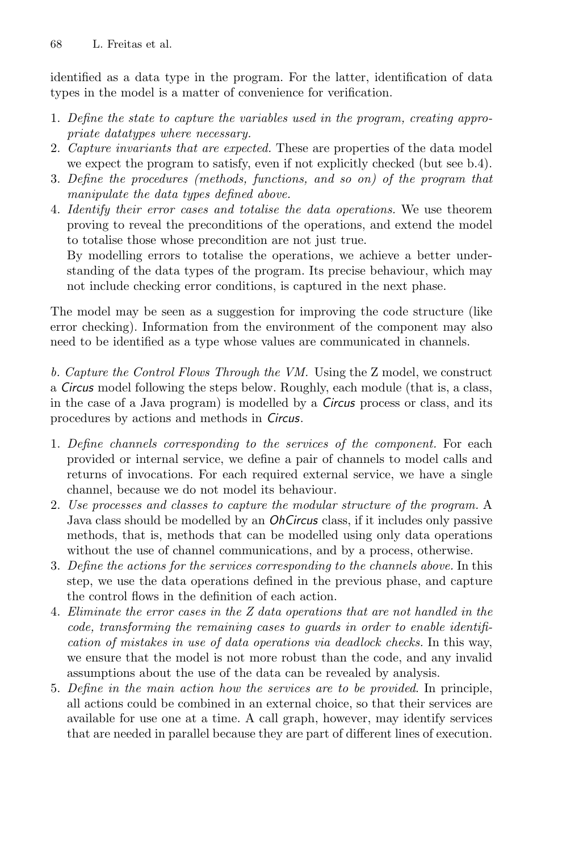identified as a data type in the program. For the latter, identification of data types in the model is a matter of convenience for verification.

- 1. *Define the state to capture the variables used in the program, creating appropriate datatypes where necessary.*
- 2. *Capture invariants that are expected.* These are properties of the data model we expect the program to satisfy, even if not explicitly checked (but see b.4).
- 3. *Define the procedures (methods, functions, and so on) of the program that manipulate the data types defined above.*
- 4. *Identify their error cases and totalise the data operations.* We use theorem proving to reveal the preconditions of the operations, and extend the model to totalise those whose precondition are not just true.

By modelling errors to totalise the operations, we achieve a better understanding of the data types of the program. Its precise behaviour, which may not include checking error conditions, is captured in the next phase.

The model may be seen as a suggestion for improving the code structure (like error checking). Information from the environment of the component may also need to be identified as a type whose values are communicated in channels.

*b. Capture the Control Flows Through the VM.* Using the Z model, we construct a *Circus* model following the steps below. Roughly, each module (that is, a class, in the case of a Java program) is modelled by a *Circus* process or class, and its procedures by actions and methods in *Circus*.

- 1. *Define channels corresponding to the services of the component.* For each provided or internal service, we define a pair of channels to model calls and returns of invocations. For each required external service, we have a single channel, because we do not model its behaviour.
- 2. *Use processes and classes to capture the modular structure of the program.* A Java class should be modelled by an *OhCircus* class, if it includes only passive methods, that is, methods that can be modelled using only data operations without the use of channel communications, and by a process, otherwise.
- 3. *Define the actions for the services corresponding to the channels above.* In this step, we use the data operations defined in the previous phase, and capture the control flows in the definition of each action.
- 4. *Eliminate the error cases in the Z data operations that are not handled in the code, transforming the remaining cases to guards in order to enable identification of mistakes in use of data operations via deadlock checks.* In this way, we ensure that the model is not more robust than the code, and any invalid assumptions about the use of the data can be revealed by analysis.
- 5. *Define in the main action how the services are to be provided*. In principle, all actions could be combined in an external choice, so that their services are available for use one at a time. A call graph, however, may identify services that are needed in parallel because they are part of different lines of execution.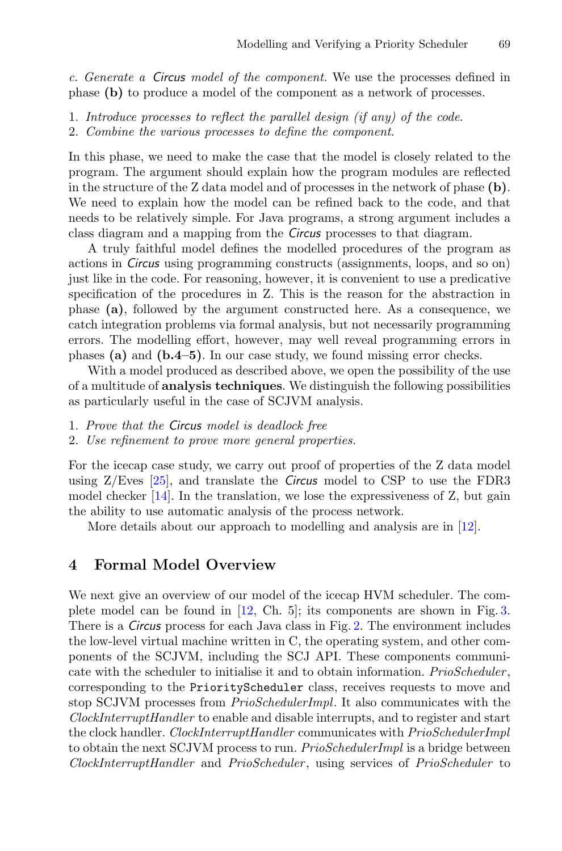*c. Generate a Circus model of the component.* We use the processes defined in phase **(b)** to produce a model of the component as a network of processes.

- 1. *Introduce processes to reflect the parallel design (if any) of the code*.
- 2. *Combine the various processes to define the component*.

In this phase, we need to make the case that the model is closely related to the program. The argument should explain how the program modules are reflected in the structure of the Z data model and of processes in the network of phase **(b)**. We need to explain how the model can be refined back to the code, and that needs to be relatively simple. For Java programs, a strong argument includes a class diagram and a mapping from the *Circus* processes to that diagram.

A truly faithful model defines the modelled procedures of the program as actions in *Circus* using programming constructs (assignments, loops, and so on) just like in the code. For reasoning, however, it is convenient to use a predicative specification of the procedures in Z. This is the reason for the abstraction in phase **(a)**, followed by the argument constructed here. As a consequence, we catch integration problems via formal analysis, but not necessarily programming errors. The modelling effort, however, may well reveal programming errors in phases **(a)** and **(b.4–5)**. In our case study, we found missing error checks.

With a model produced as described above, we open the possibility of the use of a multitude of **analysis techniques**. We distinguish the following possibilities as particularly useful in the case of SCJVM analysis.

- 1. *Prove that the Circus model is deadlock free*
- 2. *Use refinement to prove more general properties.*

For the icecap case study, we carry out proof of properties of the Z data model using Z/Eves [\[25\]](#page-15-10), and translate the *Circus* model to CSP to use the FDR3 model checker  $[14]$ . In the translation, we lose the expressiveness of Z, but gain the ability to use automatic analysis of the process network.

More details about our approach to modelling and analysis are in [\[12\]](#page-14-15).

### <span id="page-6-0"></span>**4 Formal Model Overview**

We next give an overview of our model of the icecap HVM scheduler. The complete model can be found in [\[12](#page-14-15), Ch. 5]; its components are shown in Fig. [3.](#page-7-0) There is a *Circus* process for each Java class in Fig. [2.](#page-3-1) The environment includes the low-level virtual machine written in C, the operating system, and other components of the SCJVM, including the SCJ API. These components communicate with the scheduler to initialise it and to obtain information. *PrioScheduler* , corresponding to the PriorityScheduler class, receives requests to move and stop SCJVM processes from *PrioSchedulerImpl*. It also communicates with the *ClockInterruptHandler* to enable and disable interrupts, and to register and start the clock handler. *ClockInterruptHandler* communicates with *PrioSchedulerImpl* to obtain the next SCJVM process to run. *PrioSchedulerImpl* is a bridge between *ClockInterruptHandler* and *PrioScheduler* , using services of *PrioScheduler* to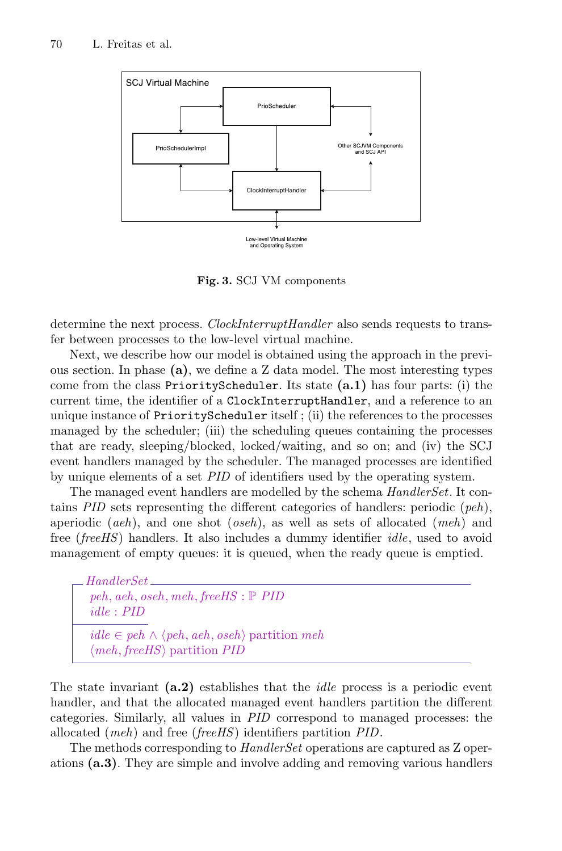

<span id="page-7-0"></span>**Fig. 3.** SCJ VM components

determine the next process. *ClockInterruptHandler* also sends requests to transfer between processes to the low-level virtual machine.

Next, we describe how our model is obtained using the approach in the previous section. In phase **(a)**, we define a Z data model. The most interesting types come from the class PriorityScheduler. Its state **(a.1)** has four parts: (i) the current time, the identifier of a ClockInterruptHandler, and a reference to an unique instance of PriorityScheduler itself ; (ii) the references to the processes managed by the scheduler; (iii) the scheduling queues containing the processes that are ready, sleeping/blocked, locked/waiting, and so on; and (iv) the SCJ event handlers managed by the scheduler. The managed processes are identified by unique elements of a set *PID* of identifiers used by the operating system.

The managed event handlers are modelled by the schema *HandlerSet*. It contains *PID* sets representing the different categories of handlers: periodic (*peh*), aperiodic (*aeh*), and one shot (*oseh*), as well as sets of allocated (*meh*) and free (*freeHS*) handlers. It also includes a dummy identifier *idle*, used to avoid management of empty queues: it is queued, when the ready queue is emptied.

*HandlerSet peh, aeh, oseh, meh, freeHS* : P *PID idle* : *PID*  $idle \in peh \land \langle peh, aeh, oseh \rangle$  partition *meh meh, freeHS* partition *PID*

The state invariant **(a.2)** establishes that the *idle* process is a periodic event handler, and that the allocated managed event handlers partition the different categories. Similarly, all values in *PID* correspond to managed processes: the allocated (*meh*) and free (*freeHS*) identifiers partition *PID*.

The methods corresponding to *HandlerSet* operations are captured as Z operations **(a.3)**. They are simple and involve adding and removing various handlers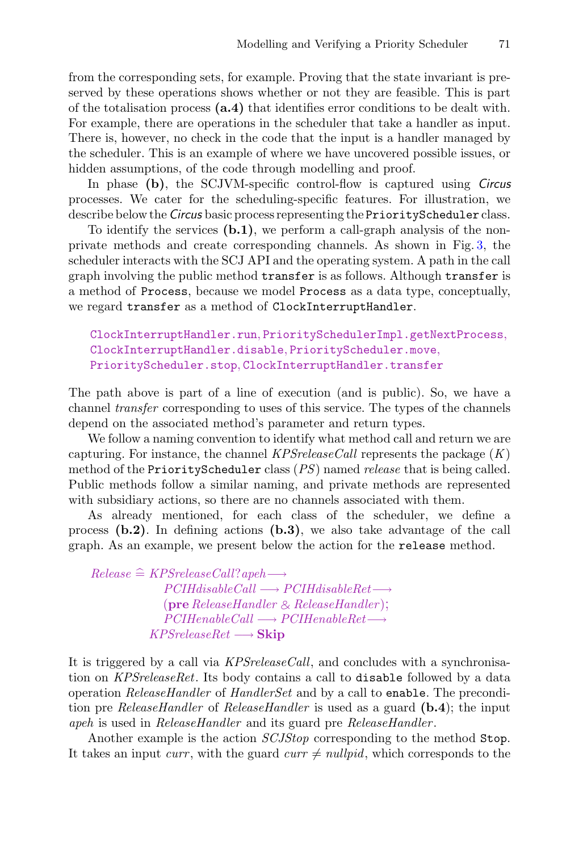from the corresponding sets, for example. Proving that the state invariant is preserved by these operations shows whether or not they are feasible. This is part of the totalisation process **(a.4)** that identifies error conditions to be dealt with. For example, there are operations in the scheduler that take a handler as input. There is, however, no check in the code that the input is a handler managed by the scheduler. This is an example of where we have uncovered possible issues, or hidden assumptions, of the code through modelling and proof.

In phase **(b)**, the SCJVM-specific control-flow is captured using *Circus* processes. We cater for the scheduling-specific features. For illustration, we describe below the*Circus* basic process representing the PriorityScheduler class.

To identify the services **(b.1)**, we perform a call-graph analysis of the nonprivate methods and create corresponding channels. As shown in Fig. [3,](#page-7-0) the scheduler interacts with the SCJ API and the operating system. A path in the call graph involving the public method transfer is as follows. Although transfer is a method of Process, because we model Process as a data type, conceptually, we regard transfer as a method of ClockInterruptHandler.

#### ClockInterruptHandler.run*,* PrioritySchedulerImpl.getNextProcess*,* ClockInterruptHandler.disable*,* PriorityScheduler.move*,* PriorityScheduler.stop*,* ClockInterruptHandler.transfer

The path above is part of a line of execution (and is public). So, we have a channel *transfer* corresponding to uses of this service. The types of the channels depend on the associated method's parameter and return types.

We follow a naming convention to identify what method call and return we are capturing. For instance, the channel *KPSreleaseCall* represents the package (*K*) method of the PriorityScheduler class (*PS*) named *release* that is being called. Public methods follow a similar naming, and private methods are represented with subsidiary actions, so there are no channels associated with them.

As already mentioned, for each class of the scheduler, we define a process **(b.2)**. In defining actions **(b.3)**, we also take advantage of the call graph. As an example, we present below the action for the release method.  $\begin{align} \text{cess (b.2)} \\ \text{ph. As an} \\ \text{Release} \stackrel{\frown}{=} \end{align}$ 

 *KPSreleaseCall*?*apeh*−→ *PCIHdisableCall* −→ *PCIHdisableRet*−→ (pre ReleaseHandler & ReleaseHandler); *PCIHenableCall* −→ *PCIHenableRet*−→ *KPSreleaseRet* −→ **Skip**

It is triggered by a call via *KPSreleaseCall*, and concludes with a synchronisation on *KPSreleaseRet*. Its body contains a call to disable followed by a data operation *ReleaseHandler* of *HandlerSet* and by a call to enable. The precondition pre *ReleaseHandler* of *ReleaseHandler* is used as a guard **(b.4**); the input *apeh* is used in *ReleaseHandler* and its guard pre *ReleaseHandler* .

Another example is the action *SCJStop* corresponding to the method Stop. It takes an input *curr*, with the guard  $curr \neq nullpid$ , which corresponds to the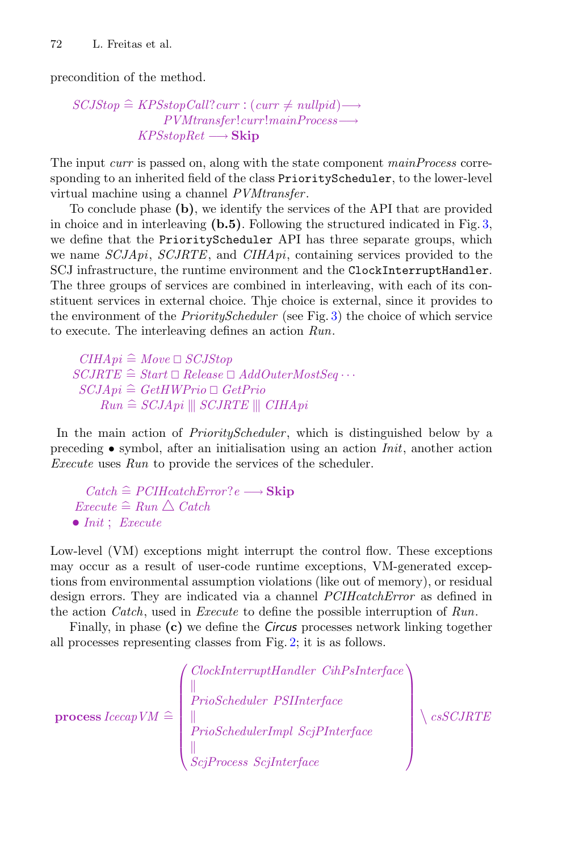precondition of the method.

```
scJStop ≘
SCJStop \cong KPSstopCall? <i>curr</i> : (<i>curr</i> \neq <i>nullpid</i>) \longrightarrowPVMtransfer !curr !mainProcess−→
              KPSstopRet −→ Skip
```
The input *curr* is passed on, along with the state component *mainProcess* corresponding to an inherited field of the class PriorityScheduler, to the lower-level virtual machine using a channel *PVMtransfer* .

To conclude phase **(b)**, we identify the services of the API that are provided in choice and in interleaving **(b.5)**. Following the structured indicated in Fig. [3,](#page-7-0) we define that the PriorityScheduler API has three separate groups, which we name *SCJApi*, *SCJRTE*, and *CIHApi*, containing services provided to the SCJ infrastructure, the runtime environment and the ClockInterruptHandler. The three groups of services are combined in interleaving, with each of its constituent services in external choice. Thje choice is external, since it provides to the environment of the *PriorityScheduler* (see Fig. [3\)](#page-7-0) the choice of which service to execute. The interleaving defines an action *Run*. nvironmen<br>ecute. The<br>*CIHApi* ≘

```
CIHApi \hat{=} Move \Box SCJStop\text{SCA} \text{SCA} \text{SCA} \text{SCA} \text{SCA} \text{SCA} \text{SCA} \text{SCA} \text{SCA} \text{SCA} \text{SCA} \text{SCA} \text{SCA} \text{SCA} \text{SCA} \text{SCA} \text{SCA} \text{SCA} \text{SCA} \text{SCA} \text{SCA} \text{SCA} \text{SCA} \text{SCA} \text{SCIHApi \stackrel{\triangle}{=}<br>SCJApi \stackrel{\triangle}{=}SCJApi \cong GetHWPrio \sqcup GetPrio\begin{array}{l} \textit{Rap1} = \ \textit{RTE} \cong \ \textit{IApi} \cong \ \textit{Run} \cong \end{array}Run \cong SCJApi \parallel SCJRTE \parallel CHApi
```
In the main action of *PriorityScheduler*, which is distinguished below by a preceding • symbol, after an initialisation using an action *Init*, another action *Execute* uses *Run* to provide the services of the scheduler. ling • symbol, after an initialisation *u*<br> *Catch*  $\hat{=}$  *PCIHcatchError*?*e* → **Skip** 

```
\begin{aligned} \textit{State uses Run to provide} \ \textit{Cache} \cong \textit{PCIHcatchEr} \ \textit{Execute} \cong \textit{Run} \bigtriangleup \textit{Catch} \end{aligned}• Init ; Execute
```
Low-level (VM) exceptions might interrupt the control flow. These exceptions may occur as a result of user-code runtime exceptions, VM-generated exceptions from environmental assumption violations (like out of memory), or residual design errors. They are indicated via a channel *PCIHcatchError* as defined in the action *Catch*, used in *Execute* to define the possible interruption of *Run*.

Finally, in phase **(c)** we define the *Circus* processes network linking together all processes representing classes from Fig. [2;](#page-3-1) it is as follows.

```
process IcecapVM <sup>⇒</sup>
                        ⎜⎜⎜⎜⎜⎜⎜⎜⎝ClockInterruptHandler CihPsInterface
                           Щ
                           PrioScheduler PSIInterface
                           Щ
                           PrioSchedulerImpl ScjPInterface
                           ij
                           ScjProcess ScjInterface
                                                                       ⎟⎟⎟⎟⎟⎟⎟⎟⎠\ csSCJRTE
```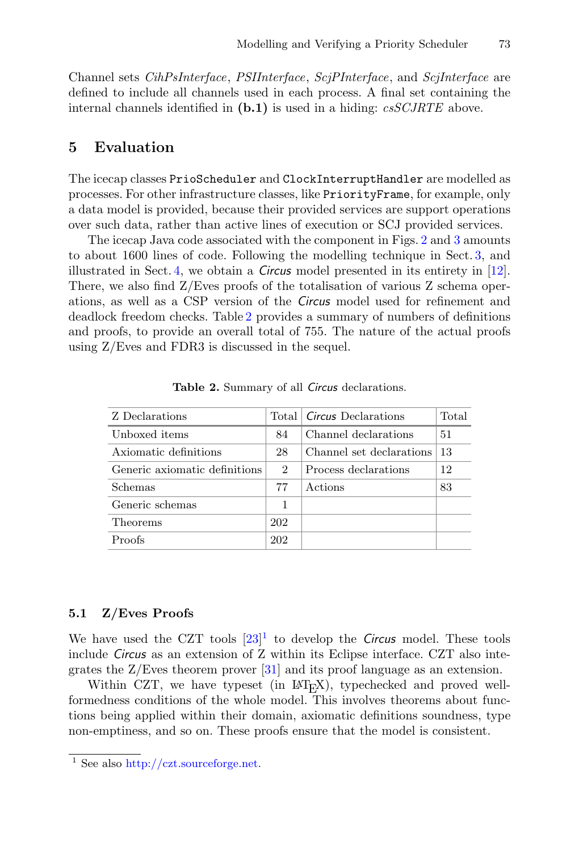Channel sets *CihPsInterface*, *PSIInterface*, *ScjPInterface*, and *ScjInterface* are defined to include all channels used in each process. A final set containing the internal channels identified in **(b.1)** is used in a hiding: *csSCJRTE* above.

## <span id="page-10-0"></span>**5 Evaluation**

The icecap classes PrioScheduler and ClockInterruptHandler are modelled as processes. For other infrastructure classes, like PriorityFrame, for example, only a data model is provided, because their provided services are support operations over such data, rather than active lines of execution or SCJ provided services.

The icecap Java code associated with the component in Figs. [2](#page-3-1) and [3](#page-7-0) amounts to about 1600 lines of code. Following the modelling technique in Sect. [3,](#page-4-0) and illustrated in Sect. [4,](#page-6-0) we obtain a *Circus* model presented in its entirety in [\[12\]](#page-14-15). There, we also find Z/Eves proofs of the totalisation of various Z schema operations, as well as a CSP version of the *Circus* model used for refinement and deadlock freedom checks. Table [2](#page-10-1) provides a summary of numbers of definitions and proofs, to provide an overall total of 755. The nature of the actual proofs using Z/Eves and FDR3 is discussed in the sequel.

| Z Declarations                | Total l | <b>Circus</b> Declarations | Total |
|-------------------------------|---------|----------------------------|-------|
| Unboxed items                 | 84      | Channel declarations       | 51    |
| Axiomatic definitions         | 28      | Channel set declarations   | 13    |
| Generic axiomatic definitions | 2       | Process declarations       | 12    |
| Schemas                       | 77      | Actions                    | 83    |
| Generic schemas               | 1       |                            |       |
| <b>Theorems</b>               | 202     |                            |       |
| Proofs                        | 202     |                            |       |

<span id="page-10-1"></span>**Table 2.** Summary of all *Circus* declarations.

#### **5.1 Z/Eves Proofs**

We have used the CZT tools [\[23](#page-15-11)] [1](#page-10-2) to develop the *Circus* model. These tools include *Circus* as an extension of Z within its Eclipse interface. CZT also integrates the Z/Eves theorem prover [\[31\]](#page-15-12) and its proof language as an extension.

Within CZT, we have typeset (in  $\text{LAT}_F X$ ), typechecked and proved wellformedness conditions of the whole model. This involves theorems about functions being applied within their domain, axiomatic definitions soundness, type non-emptiness, and so on. These proofs ensure that the model is consistent.

<span id="page-10-2"></span> $\frac{1}{1}$  See also [http://czt.sourceforge.net.](http://czt.sourceforge.net)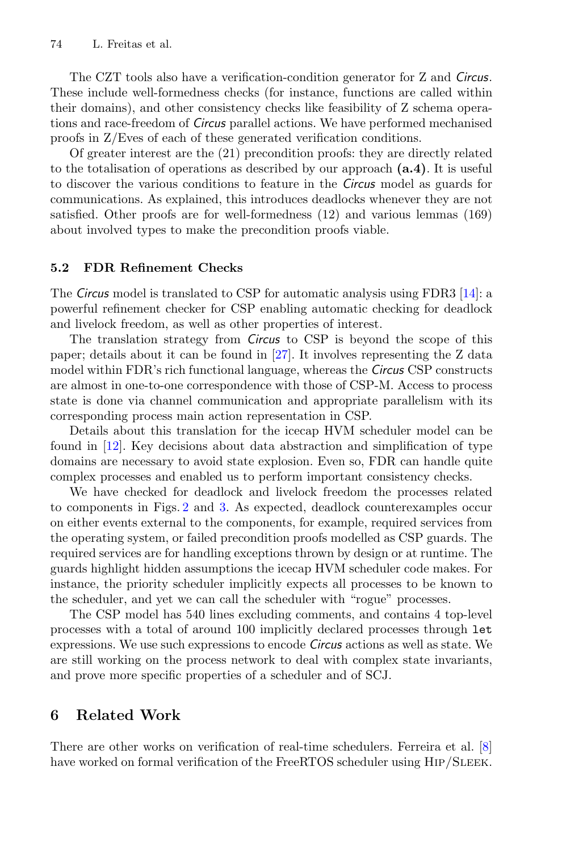The CZT tools also have a verification-condition generator for Z and *Circus*. These include well-formedness checks (for instance, functions are called within their domains), and other consistency checks like feasibility of Z schema operations and race-freedom of *Circus* parallel actions. We have performed mechanised proofs in Z/Eves of each of these generated verification conditions.

Of greater interest are the (21) precondition proofs: they are directly related to the totalisation of operations as described by our approach **(a.4)**. It is useful to discover the various conditions to feature in the *Circus* model as guards for communications. As explained, this introduces deadlocks whenever they are not satisfied. Other proofs are for well-formedness (12) and various lemmas (169) about involved types to make the precondition proofs viable.

#### **5.2 FDR Refinement Checks**

The *Circus* model is translated to CSP for automatic analysis using FDR3 [\[14](#page-14-14)]: a powerful refinement checker for CSP enabling automatic checking for deadlock and livelock freedom, as well as other properties of interest.

The translation strategy from *Circus* to CSP is beyond the scope of this paper; details about it can be found in [\[27](#page-15-13)]. It involves representing the Z data model within FDR's rich functional language, whereas the *Circus* CSP constructs are almost in one-to-one correspondence with those of CSP-M. Access to process state is done via channel communication and appropriate parallelism with its corresponding process main action representation in CSP.

Details about this translation for the icecap HVM scheduler model can be found in [\[12](#page-14-15)]. Key decisions about data abstraction and simplification of type domains are necessary to avoid state explosion. Even so, FDR can handle quite complex processes and enabled us to perform important consistency checks.

We have checked for deadlock and livelock freedom the processes related to components in Figs. [2](#page-3-1) and [3.](#page-7-0) As expected, deadlock counterexamples occur on either events external to the components, for example, required services from the operating system, or failed precondition proofs modelled as CSP guards. The required services are for handling exceptions thrown by design or at runtime. The guards highlight hidden assumptions the icecap HVM scheduler code makes. For instance, the priority scheduler implicitly expects all processes to be known to the scheduler, and yet we can call the scheduler with "rogue" processes.

The CSP model has 540 lines excluding comments, and contains 4 top-level processes with a total of around 100 implicitly declared processes through let expressions. We use such expressions to encode *Circus* actions as well as state. We are still working on the process network to deal with complex state invariants, and prove more specific properties of a scheduler and of SCJ.

## <span id="page-11-0"></span>**6 Related Work**

There are other works on verification of real-time schedulers. Ferreira et al. [\[8](#page-14-16)] have worked on formal verification of the FreeRTOS scheduler using HIP/SLEEK.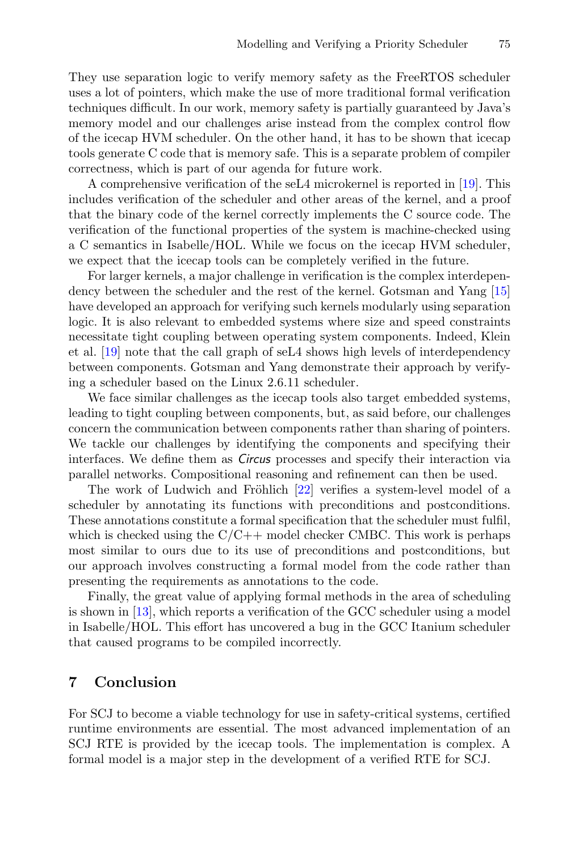They use separation logic to verify memory safety as the FreeRTOS scheduler uses a lot of pointers, which make the use of more traditional formal verification techniques difficult. In our work, memory safety is partially guaranteed by Java's memory model and our challenges arise instead from the complex control flow of the icecap HVM scheduler. On the other hand, it has to be shown that icecap tools generate C code that is memory safe. This is a separate problem of compiler correctness, which is part of our agenda for future work.

A comprehensive verification of the seL4 microkernel is reported in [\[19\]](#page-14-17). This includes verification of the scheduler and other areas of the kernel, and a proof that the binary code of the kernel correctly implements the C source code. The verification of the functional properties of the system is machine-checked using a C semantics in Isabelle/HOL. While we focus on the icecap HVM scheduler, we expect that the icecap tools can be completely verified in the future.

For larger kernels, a major challenge in verification is the complex interdependency between the scheduler and the rest of the kernel. Gotsman and Yang [\[15\]](#page-14-18) have developed an approach for verifying such kernels modularly using separation logic. It is also relevant to embedded systems where size and speed constraints necessitate tight coupling between operating system components. Indeed, Klein et al. [\[19\]](#page-14-17) note that the call graph of seL4 shows high levels of interdependency between components. Gotsman and Yang demonstrate their approach by verifying a scheduler based on the Linux 2.6.11 scheduler.

We face similar challenges as the icecap tools also target embedded systems, leading to tight coupling between components, but, as said before, our challenges concern the communication between components rather than sharing of pointers. We tackle our challenges by identifying the components and specifying their interfaces. We define them as *Circus* processes and specify their interaction via parallel networks. Compositional reasoning and refinement can then be used.

The work of Ludwich and Fröhlich  $[22]$  verifies a system-level model of a scheduler by annotating its functions with preconditions and postconditions. These annotations constitute a formal specification that the scheduler must fulfil, which is checked using the  $C/C++$  model checker CMBC. This work is perhaps most similar to ours due to its use of preconditions and postconditions, but our approach involves constructing a formal model from the code rather than presenting the requirements as annotations to the code.

Finally, the great value of applying formal methods in the area of scheduling is shown in [\[13](#page-14-19)], which reports a verification of the GCC scheduler using a model in Isabelle/HOL. This effort has uncovered a bug in the GCC Itanium scheduler that caused programs to be compiled incorrectly.

## <span id="page-12-0"></span>**7 Conclusion**

For SCJ to become a viable technology for use in safety-critical systems, certified runtime environments are essential. The most advanced implementation of an SCJ RTE is provided by the icecap tools. The implementation is complex. A formal model is a major step in the development of a verified RTE for SCJ.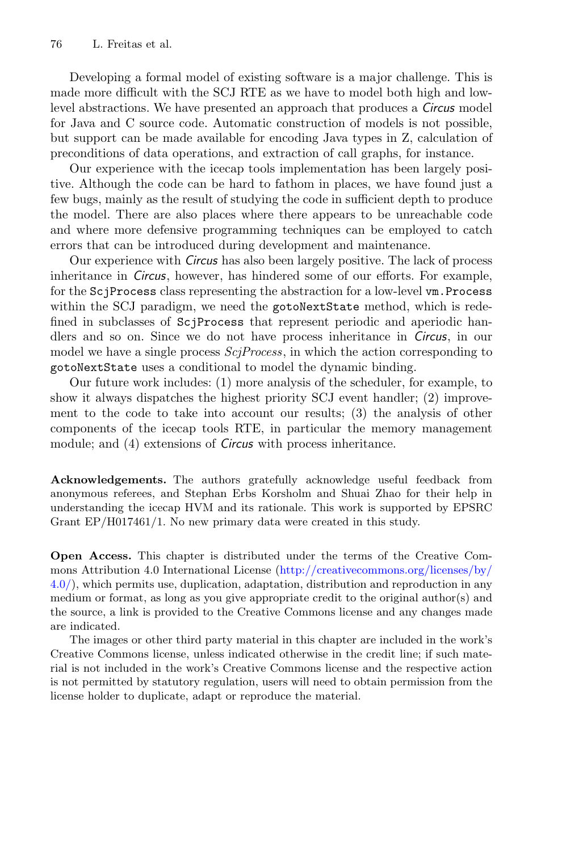Developing a formal model of existing software is a major challenge. This is made more difficult with the SCJ RTE as we have to model both high and lowlevel abstractions. We have presented an approach that produces a *Circus* model for Java and C source code. Automatic construction of models is not possible, but support can be made available for encoding Java types in Z, calculation of preconditions of data operations, and extraction of call graphs, for instance.

Our experience with the icecap tools implementation has been largely positive. Although the code can be hard to fathom in places, we have found just a few bugs, mainly as the result of studying the code in sufficient depth to produce the model. There are also places where there appears to be unreachable code and where more defensive programming techniques can be employed to catch errors that can be introduced during development and maintenance.

Our experience with *Circus* has also been largely positive. The lack of process inheritance in *Circus*, however, has hindered some of our efforts. For example, for the ScjProcess class representing the abstraction for a low-level vm.Process within the SCJ paradigm, we need the gotoNextState method, which is redefined in subclasses of ScjProcess that represent periodic and aperiodic handlers and so on. Since we do not have process inheritance in *Circus*, in our model we have a single process *ScjProcess*, in which the action corresponding to gotoNextState uses a conditional to model the dynamic binding.

Our future work includes: (1) more analysis of the scheduler, for example, to show it always dispatches the highest priority SCJ event handler; (2) improvement to the code to take into account our results; (3) the analysis of other components of the icecap tools RTE, in particular the memory management module; and (4) extensions of *Circus* with process inheritance.

**Acknowledgements.** The authors gratefully acknowledge useful feedback from anonymous referees, and Stephan Erbs Korsholm and Shuai Zhao for their help in understanding the icecap HVM and its rationale. This work is supported by EPSRC Grant EP/H017461/1. No new primary data were created in this study.

**Open Access.** This chapter is distributed under the terms of the Creative Commons Attribution 4.0 International License [\(http://creativecommons.org/licenses/by/](http://creativecommons.org/licenses/by/4.0/) [4.0/\)](http://creativecommons.org/licenses/by/4.0/), which permits use, duplication, adaptation, distribution and reproduction in any medium or format, as long as you give appropriate credit to the original author(s) and the source, a link is provided to the Creative Commons license and any changes made are indicated.

The images or other third party material in this chapter are included in the work's Creative Commons license, unless indicated otherwise in the credit line; if such material is not included in the work's Creative Commons license and the respective action is not permitted by statutory regulation, users will need to obtain permission from the license holder to duplicate, adapt or reproduce the material.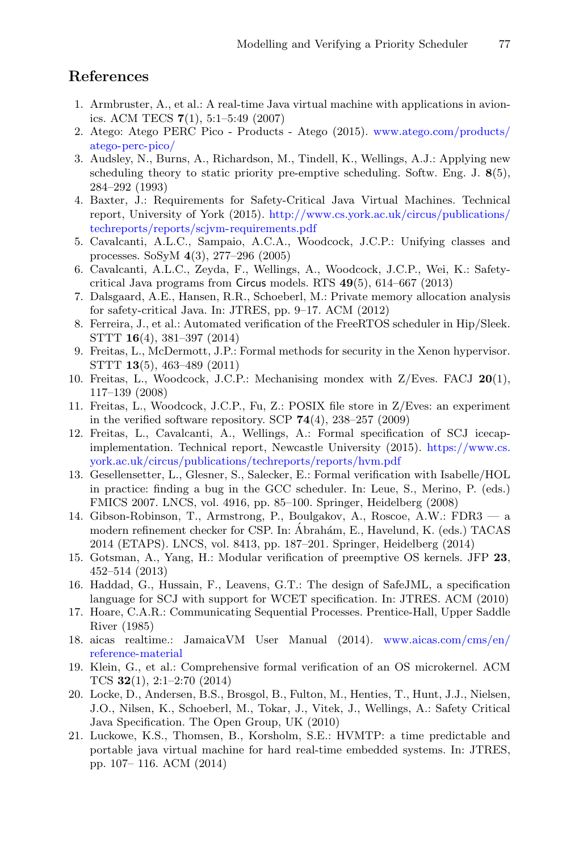# <span id="page-14-6"></span>**References**

- 1. Armbruster, A., et al.: A real-time Java virtual machine with applications in avionics. ACM TECS **7**(1), 5:1–5:49 (2007)
- <span id="page-14-8"></span>2. Atego: Atego PERC Pico - Products - Atego (2015). [www.atego.com/products/](www.atego.com/products/atego-perc-pico/) [atego-perc-pico/](www.atego.com/products/atego-perc-pico/)
- <span id="page-14-1"></span>3. Audsley, N., Burns, A., Richardson, M., Tindell, K., Wellings, A.J.: Applying new scheduling theory to static priority pre-emptive scheduling. Softw. Eng. J. **8**(5), 284–292 (1993)
- <span id="page-14-9"></span>4. Baxter, J.: Requirements for Safety-Critical Java Virtual Machines. Technical report, University of York (2015). [http://www.cs.york.ac.uk/circus/publications/](http://www.cs.york.ac.uk/circus/publications/techreports/reports/scjvm-requirements.pdf) [techreports/reports/scjvm-requirements.pdf](http://www.cs.york.ac.uk/circus/publications/techreports/reports/scjvm-requirements.pdf)
- <span id="page-14-10"></span>5. Cavalcanti, A.L.C., Sampaio, A.C.A., Woodcock, J.C.P.: Unifying classes and processes. SoSyM **4**(3), 277–296 (2005)
- <span id="page-14-2"></span>6. Cavalcanti, A.L.C., Zeyda, F., Wellings, A., Woodcock, J.C.P., Wei, K.: Safetycritical Java programs from Circus models. RTS **49**(5), 614–667 (2013)
- <span id="page-14-3"></span>7. Dalsgaard, A.E., Hansen, R.R., Schoeberl, M.: Private memory allocation analysis for safety-critical Java. In: JTRES, pp. 9–17. ACM (2012)
- <span id="page-14-16"></span>8. Ferreira, J., et al.: Automated verification of the FreeRTOS scheduler in Hip/Sleek. STTT **16**(4), 381–397 (2014)
- <span id="page-14-12"></span>9. Freitas, L., McDermott, J.P.: Formal methods for security in the Xenon hypervisor. STTT **13**(5), 463–489 (2011)
- 10. Freitas, L., Woodcock, J.C.P.: Mechanising mondex with Z/Eves. FACJ **20**(1), 117–139 (2008)
- <span id="page-14-13"></span>11. Freitas, L., Woodcock, J.C.P., Fu, Z.: POSIX file store in Z/Eves: an experiment in the verified software repository. SCP **74**(4), 238–257 (2009)
- <span id="page-14-15"></span>12. Freitas, L., Cavalcanti, A., Wellings, A.: Formal specification of SCJ icecapimplementation. Technical report, Newcastle University (2015). [https://www.cs.](https://www.cs.york.ac.uk/circus/publications/techreports/reports/hvm.pdf) [york.ac.uk/circus/publications/techreports/reports/hvm.pdf](https://www.cs.york.ac.uk/circus/publications/techreports/reports/hvm.pdf)
- <span id="page-14-19"></span>13. Gesellensetter, L., Glesner, S., Salecker, E.: Formal verification with Isabelle/HOL in practice: finding a bug in the GCC scheduler. In: Leue, S., Merino, P. (eds.) FMICS 2007. LNCS, vol. 4916, pp. 85–100. Springer, Heidelberg (2008)
- <span id="page-14-14"></span>14. Gibson-Robinson, T., Armstrong, P., Boulgakov, A., Roscoe, A.W.: FDR3 — a modern refinement checker for CSP. In: Ábrahám, E., Havelund, K. (eds.) TACAS 2014 (ETAPS). LNCS, vol. 8413, pp. 187–201. Springer, Heidelberg (2014)
- <span id="page-14-18"></span>15. Gotsman, A., Yang, H.: Modular verification of preemptive OS kernels. JFP **23**, 452–514 (2013)
- <span id="page-14-4"></span>16. Haddad, G., Hussain, F., Leavens, G.T.: The design of SafeJML, a specification language for SCJ with support for WCET specification. In: JTRES. ACM (2010)
- <span id="page-14-11"></span>17. Hoare, C.A.R.: Communicating Sequential Processes. Prentice-Hall, Upper Saddle River (1985)
- <span id="page-14-5"></span>18. aicas realtime.: JamaicaVM User Manual (2014). [www.aicas.com/cms/en/](www.aicas.com/cms/en/reference-material) [reference-material](www.aicas.com/cms/en/reference-material)
- <span id="page-14-17"></span>19. Klein, G., et al.: Comprehensive formal verification of an OS microkernel. ACM TCS **32**(1), 2:1–2:70 (2014)
- <span id="page-14-0"></span>20. Locke, D., Andersen, B.S., Brosgol, B., Fulton, M., Henties, T., Hunt, J.J., Nielsen, J.O., Nilsen, K., Schoeberl, M., Tokar, J., Vitek, J., Wellings, A.: Safety Critical Java Specification. The Open Group, UK (2010)
- <span id="page-14-7"></span>21. Luckowe, K.S., Thomsen, B., Korsholm, S.E.: HVMTP: a time predictable and portable java virtual machine for hard real-time embedded systems. In: JTRES, pp. 107– 116. ACM (2014)